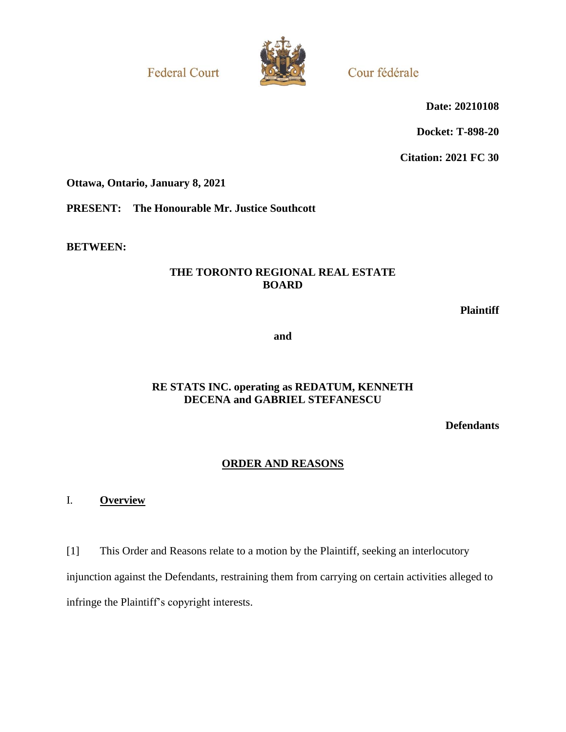**Federal Court** 



Cour fédérale

**Date: 20210108**

**Docket: T-898-20**

**Citation: 2021 FC 30**

**Ottawa, Ontario, January 8, 2021**

**PRESENT: The Honourable Mr. Justice Southcott**

**BETWEEN:**

# **THE TORONTO REGIONAL REAL ESTATE BOARD**

**Plaintiff**

**and**

# **RE STATS INC. operating as REDATUM, KENNETH DECENA and GABRIEL STEFANESCU**

**Defendants**

# **ORDER AND REASONS**

I. **Overview**

[1] This Order and Reasons relate to a motion by the Plaintiff, seeking an interlocutory injunction against the Defendants, restraining them from carrying on certain activities alleged to infringe the Plaintiff's copyright interests.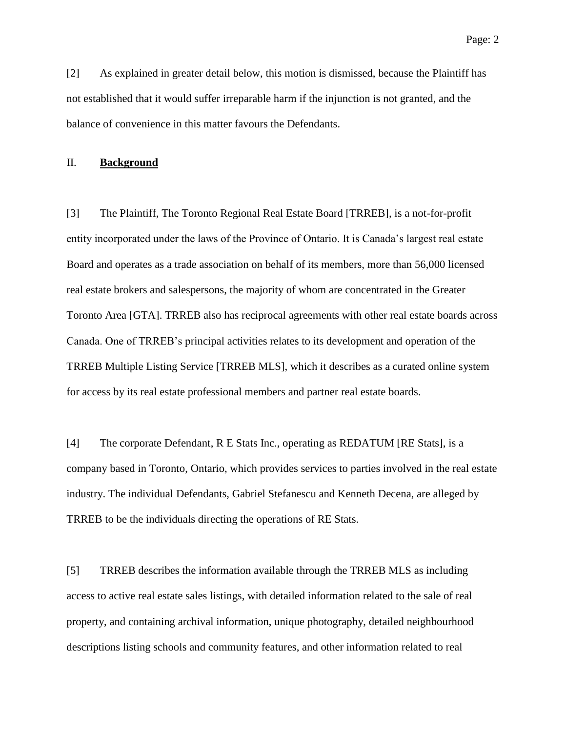[2] As explained in greater detail below, this motion is dismissed, because the Plaintiff has not established that it would suffer irreparable harm if the injunction is not granted, and the balance of convenience in this matter favours the Defendants.

## II. **Background**

[3] The Plaintiff, The Toronto Regional Real Estate Board [TRREB], is a not-for-profit entity incorporated under the laws of the Province of Ontario. It is Canada's largest real estate Board and operates as a trade association on behalf of its members, more than 56,000 licensed real estate brokers and salespersons, the majority of whom are concentrated in the Greater Toronto Area [GTA]. TRREB also has reciprocal agreements with other real estate boards across Canada. One of TRREB's principal activities relates to its development and operation of the TRREB Multiple Listing Service [TRREB MLS], which it describes as a curated online system for access by its real estate professional members and partner real estate boards.

[4] The corporate Defendant, R E Stats Inc., operating as REDATUM [RE Stats], is a company based in Toronto, Ontario, which provides services to parties involved in the real estate industry. The individual Defendants, Gabriel Stefanescu and Kenneth Decena, are alleged by TRREB to be the individuals directing the operations of RE Stats.

[5] TRREB describes the information available through the TRREB MLS as including access to active real estate sales listings, with detailed information related to the sale of real property, and containing archival information, unique photography, detailed neighbourhood descriptions listing schools and community features, and other information related to real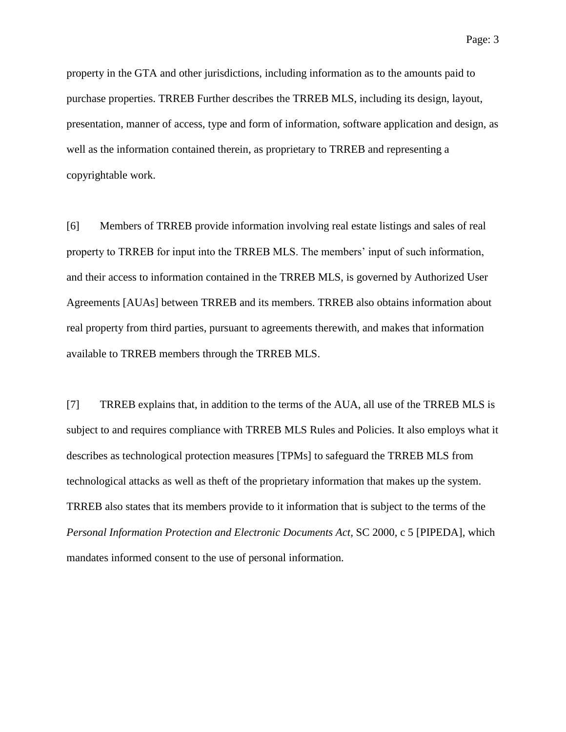property in the GTA and other jurisdictions, including information as to the amounts paid to purchase properties. TRREB Further describes the TRREB MLS, including its design, layout, presentation, manner of access, type and form of information, software application and design, as well as the information contained therein, as proprietary to TRREB and representing a copyrightable work.

[6] Members of TRREB provide information involving real estate listings and sales of real property to TRREB for input into the TRREB MLS. The members' input of such information, and their access to information contained in the TRREB MLS, is governed by Authorized User Agreements [AUAs] between TRREB and its members. TRREB also obtains information about real property from third parties, pursuant to agreements therewith, and makes that information available to TRREB members through the TRREB MLS.

[7] TRREB explains that, in addition to the terms of the AUA, all use of the TRREB MLS is subject to and requires compliance with TRREB MLS Rules and Policies. It also employs what it describes as technological protection measures [TPMs] to safeguard the TRREB MLS from technological attacks as well as theft of the proprietary information that makes up the system. TRREB also states that its members provide to it information that is subject to the terms of the *Personal Information Protection and Electronic Documents Act, SC 2000, c 5 [PIPEDA], which* mandates informed consent to the use of personal information.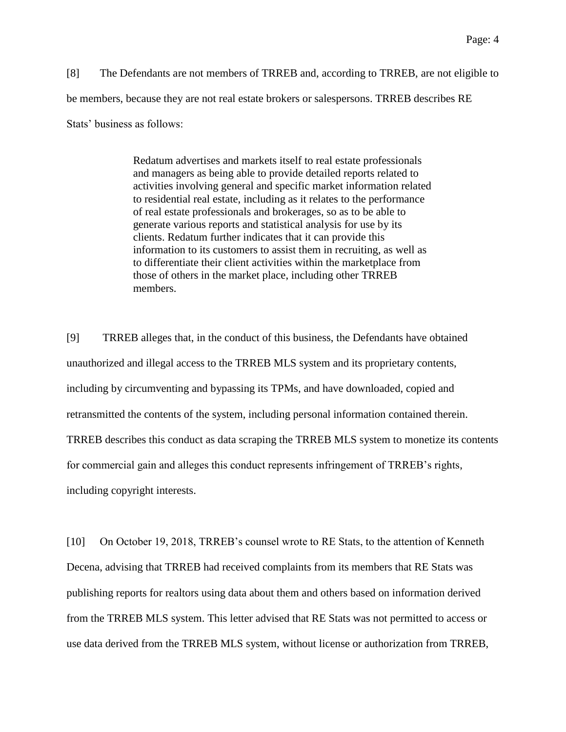[8] The Defendants are not members of TRREB and, according to TRREB, are not eligible to be members, because they are not real estate brokers or salespersons. TRREB describes RE Stats' business as follows:

> Redatum advertises and markets itself to real estate professionals and managers as being able to provide detailed reports related to activities involving general and specific market information related to residential real estate, including as it relates to the performance of real estate professionals and brokerages, so as to be able to generate various reports and statistical analysis for use by its clients. Redatum further indicates that it can provide this information to its customers to assist them in recruiting, as well as to differentiate their client activities within the marketplace from those of others in the market place, including other TRREB members.

[9] TRREB alleges that, in the conduct of this business, the Defendants have obtained unauthorized and illegal access to the TRREB MLS system and its proprietary contents, including by circumventing and bypassing its TPMs, and have downloaded, copied and retransmitted the contents of the system, including personal information contained therein. TRREB describes this conduct as data scraping the TRREB MLS system to monetize its contents for commercial gain and alleges this conduct represents infringement of TRREB's rights, including copyright interests.

[10] On October 19, 2018, TRREB's counsel wrote to RE Stats, to the attention of Kenneth Decena, advising that TRREB had received complaints from its members that RE Stats was publishing reports for realtors using data about them and others based on information derived from the TRREB MLS system. This letter advised that RE Stats was not permitted to access or use data derived from the TRREB MLS system, without license or authorization from TRREB,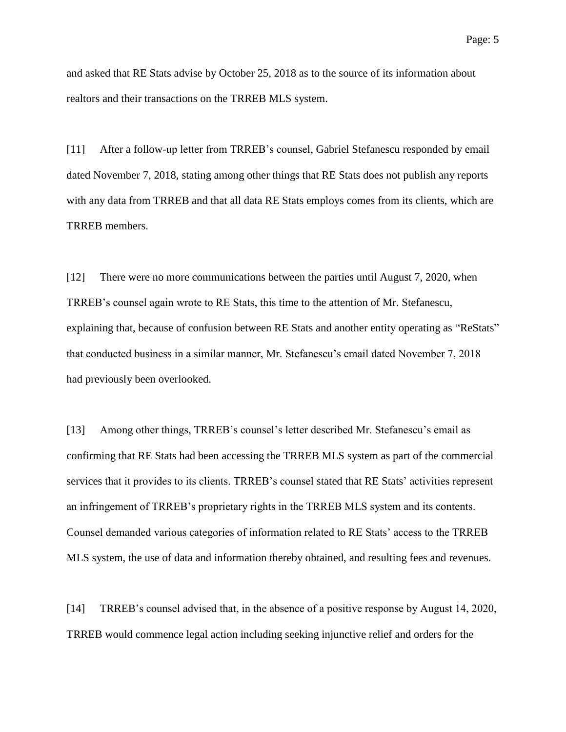and asked that RE Stats advise by October 25, 2018 as to the source of its information about realtors and their transactions on the TRREB MLS system.

[11] After a follow-up letter from TRREB's counsel, Gabriel Stefanescu responded by email dated November 7, 2018, stating among other things that RE Stats does not publish any reports with any data from TRREB and that all data RE Stats employs comes from its clients, which are TRREB members.

[12] There were no more communications between the parties until August 7, 2020, when TRREB's counsel again wrote to RE Stats, this time to the attention of Mr. Stefanescu, explaining that, because of confusion between RE Stats and another entity operating as "ReStats" that conducted business in a similar manner, Mr. Stefanescu's email dated November 7, 2018 had previously been overlooked.

[13] Among other things, TRREB's counsel's letter described Mr. Stefanescu's email as confirming that RE Stats had been accessing the TRREB MLS system as part of the commercial services that it provides to its clients. TRREB's counsel stated that RE Stats' activities represent an infringement of TRREB's proprietary rights in the TRREB MLS system and its contents. Counsel demanded various categories of information related to RE Stats' access to the TRREB MLS system, the use of data and information thereby obtained, and resulting fees and revenues.

[14] TRREB's counsel advised that, in the absence of a positive response by August 14, 2020, TRREB would commence legal action including seeking injunctive relief and orders for the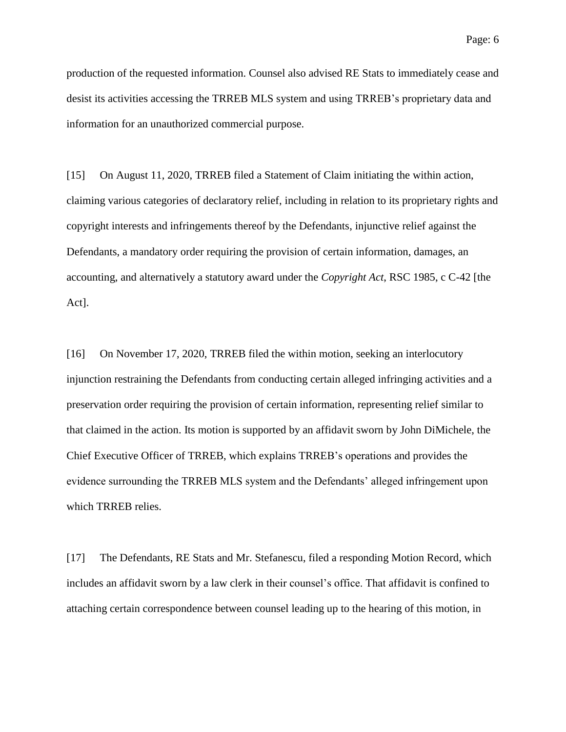production of the requested information. Counsel also advised RE Stats to immediately cease and desist its activities accessing the TRREB MLS system and using TRREB's proprietary data and information for an unauthorized commercial purpose.

[15] On August 11, 2020, TRREB filed a Statement of Claim initiating the within action, claiming various categories of declaratory relief, including in relation to its proprietary rights and copyright interests and infringements thereof by the Defendants, injunctive relief against the Defendants, a mandatory order requiring the provision of certain information, damages, an accounting, and alternatively a statutory award under the *Copyright Act*, RSC 1985, c C-42 [the Act].

[16] On November 17, 2020, TRREB filed the within motion, seeking an interlocutory injunction restraining the Defendants from conducting certain alleged infringing activities and a preservation order requiring the provision of certain information, representing relief similar to that claimed in the action. Its motion is supported by an affidavit sworn by John DiMichele, the Chief Executive Officer of TRREB, which explains TRREB's operations and provides the evidence surrounding the TRREB MLS system and the Defendants' alleged infringement upon which TRREB relies.

[17] The Defendants, RE Stats and Mr. Stefanescu, filed a responding Motion Record, which includes an affidavit sworn by a law clerk in their counsel's office. That affidavit is confined to attaching certain correspondence between counsel leading up to the hearing of this motion, in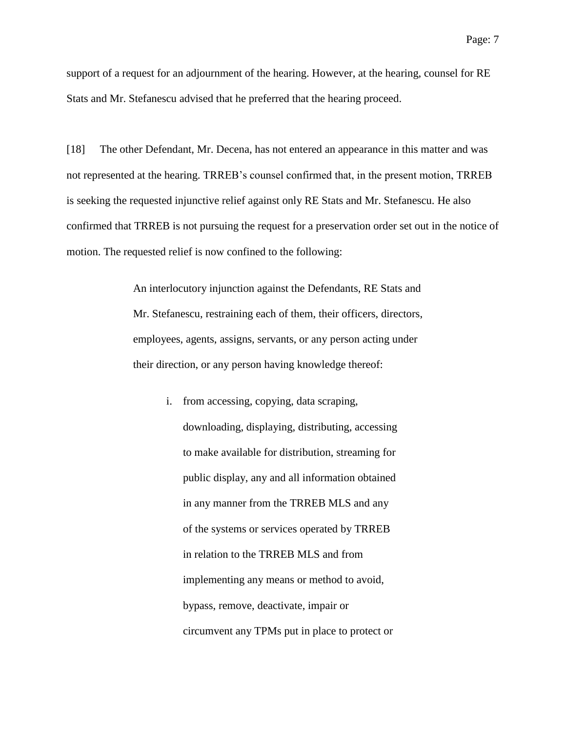support of a request for an adjournment of the hearing. However, at the hearing, counsel for RE Stats and Mr. Stefanescu advised that he preferred that the hearing proceed.

[18] The other Defendant, Mr. Decena, has not entered an appearance in this matter and was not represented at the hearing. TRREB's counsel confirmed that, in the present motion, TRREB is seeking the requested injunctive relief against only RE Stats and Mr. Stefanescu. He also confirmed that TRREB is not pursuing the request for a preservation order set out in the notice of motion. The requested relief is now confined to the following:

> An interlocutory injunction against the Defendants, RE Stats and Mr. Stefanescu, restraining each of them, their officers, directors, employees, agents, assigns, servants, or any person acting under their direction, or any person having knowledge thereof:

> > i. from accessing, copying, data scraping, downloading, displaying, distributing, accessing to make available for distribution, streaming for public display, any and all information obtained in any manner from the TRREB MLS and any of the systems or services operated by TRREB in relation to the TRREB MLS and from implementing any means or method to avoid, bypass, remove, deactivate, impair or circumvent any TPMs put in place to protect or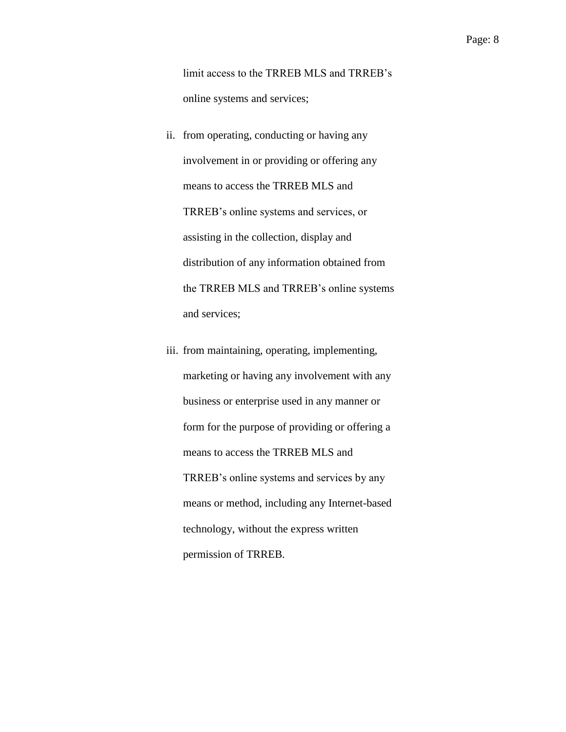limit access to the TRREB MLS and TRREB's online systems and services;

- ii. from operating, conducting or having any involvement in or providing or offering any means to access the TRREB MLS and TRREB's online systems and services, or assisting in the collection, display and distribution of any information obtained from the TRREB MLS and TRREB's online systems and services;
- iii. from maintaining, operating, implementing, marketing or having any involvement with any business or enterprise used in any manner or form for the purpose of providing or offering a means to access the TRREB MLS and TRREB's online systems and services by any means or method, including any Internet-based technology, without the express written permission of TRREB.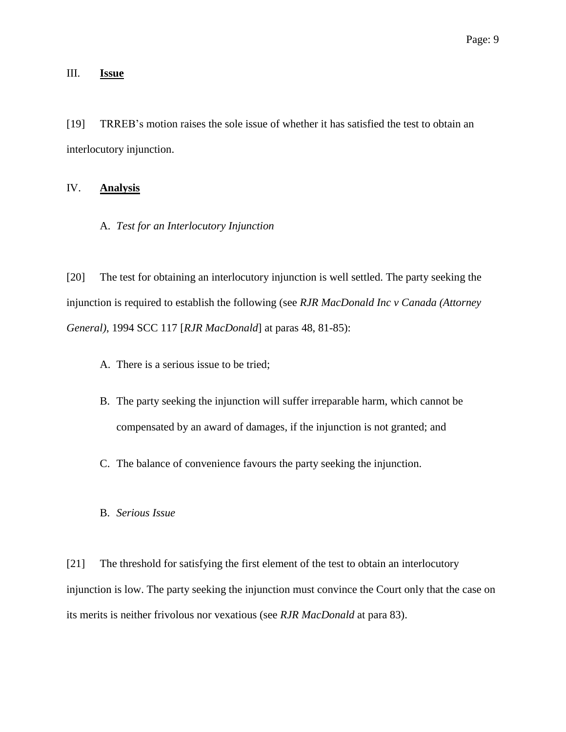### III. **Issue**

[19] TRREB's motion raises the sole issue of whether it has satisfied the test to obtain an interlocutory injunction.

### IV. **Analysis**

A. *Test for an Interlocutory Injunction*

[20] The test for obtaining an interlocutory injunction is well settled. The party seeking the injunction is required to establish the following (see *RJR MacDonald Inc v Canada (Attorney General)*, 1994 SCC 117 [*RJR MacDonald*] at paras 48, 81-85):

- A. There is a serious issue to be tried;
- B. The party seeking the injunction will suffer irreparable harm, which cannot be compensated by an award of damages, if the injunction is not granted; and
- C. The balance of convenience favours the party seeking the injunction.
- B. *Serious Issue*

[21] The threshold for satisfying the first element of the test to obtain an interlocutory injunction is low. The party seeking the injunction must convince the Court only that the case on its merits is neither frivolous nor vexatious (see *RJR MacDonald* at para 83).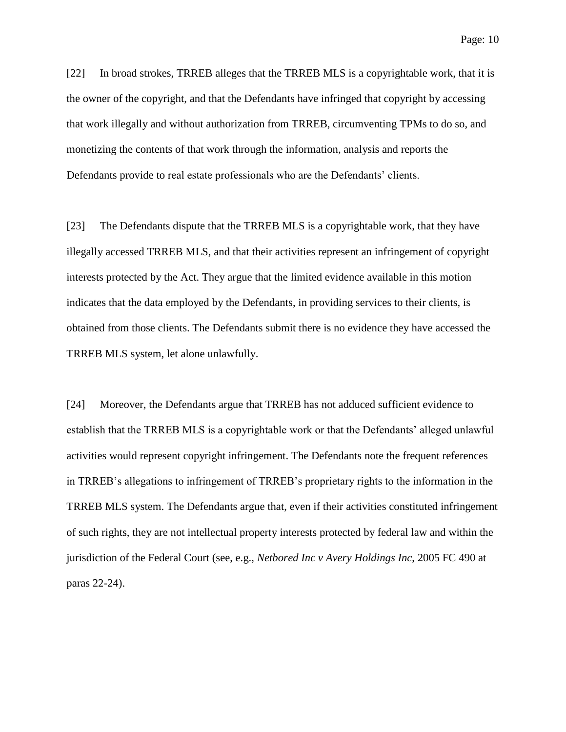[22] In broad strokes, TRREB alleges that the TRREB MLS is a copyrightable work, that it is the owner of the copyright, and that the Defendants have infringed that copyright by accessing that work illegally and without authorization from TRREB, circumventing TPMs to do so, and monetizing the contents of that work through the information, analysis and reports the Defendants provide to real estate professionals who are the Defendants' clients.

[23] The Defendants dispute that the TRREB MLS is a copyrightable work, that they have illegally accessed TRREB MLS, and that their activities represent an infringement of copyright interests protected by the Act. They argue that the limited evidence available in this motion indicates that the data employed by the Defendants, in providing services to their clients, is obtained from those clients. The Defendants submit there is no evidence they have accessed the TRREB MLS system, let alone unlawfully.

[24] Moreover, the Defendants argue that TRREB has not adduced sufficient evidence to establish that the TRREB MLS is a copyrightable work or that the Defendants' alleged unlawful activities would represent copyright infringement. The Defendants note the frequent references in TRREB's allegations to infringement of TRREB's proprietary rights to the information in the TRREB MLS system. The Defendants argue that, even if their activities constituted infringement of such rights, they are not intellectual property interests protected by federal law and within the jurisdiction of the Federal Court (see, e.g., *Netbored Inc v Avery Holdings Inc*, 2005 FC 490 at paras 22-24).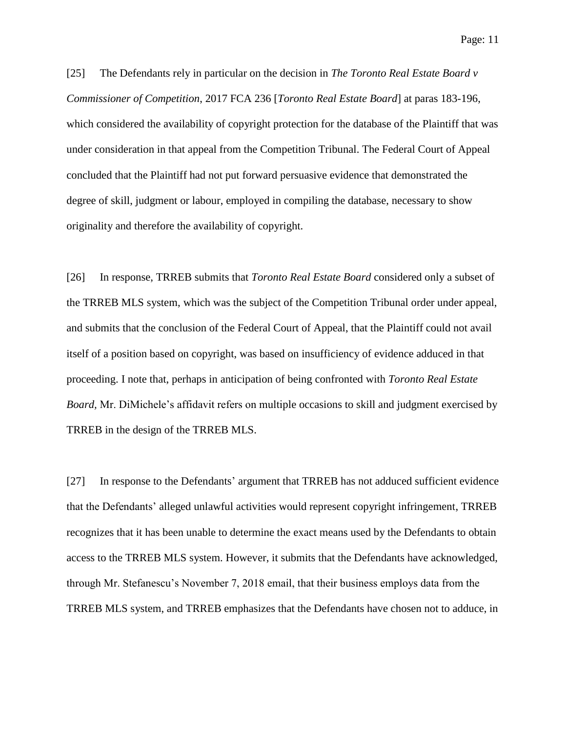[25] The Defendants rely in particular on the decision in *The Toronto Real Estate Board v Commissioner of Competition*, 2017 FCA 236 [*Toronto Real Estate Board*] at paras 183-196, which considered the availability of copyright protection for the database of the Plaintiff that was under consideration in that appeal from the Competition Tribunal. The Federal Court of Appeal concluded that the Plaintiff had not put forward persuasive evidence that demonstrated the degree of skill, judgment or labour, employed in compiling the database, necessary to show originality and therefore the availability of copyright.

[26] In response, TRREB submits that *Toronto Real Estate Board* considered only a subset of the TRREB MLS system, which was the subject of the Competition Tribunal order under appeal, and submits that the conclusion of the Federal Court of Appeal, that the Plaintiff could not avail itself of a position based on copyright, was based on insufficiency of evidence adduced in that proceeding. I note that, perhaps in anticipation of being confronted with *Toronto Real Estate Board,* Mr. DiMichele's affidavit refers on multiple occasions to skill and judgment exercised by TRREB in the design of the TRREB MLS.

[27] In response to the Defendants' argument that TRREB has not adduced sufficient evidence that the Defendants' alleged unlawful activities would represent copyright infringement, TRREB recognizes that it has been unable to determine the exact means used by the Defendants to obtain access to the TRREB MLS system. However, it submits that the Defendants have acknowledged, through Mr. Stefanescu's November 7, 2018 email, that their business employs data from the TRREB MLS system, and TRREB emphasizes that the Defendants have chosen not to adduce, in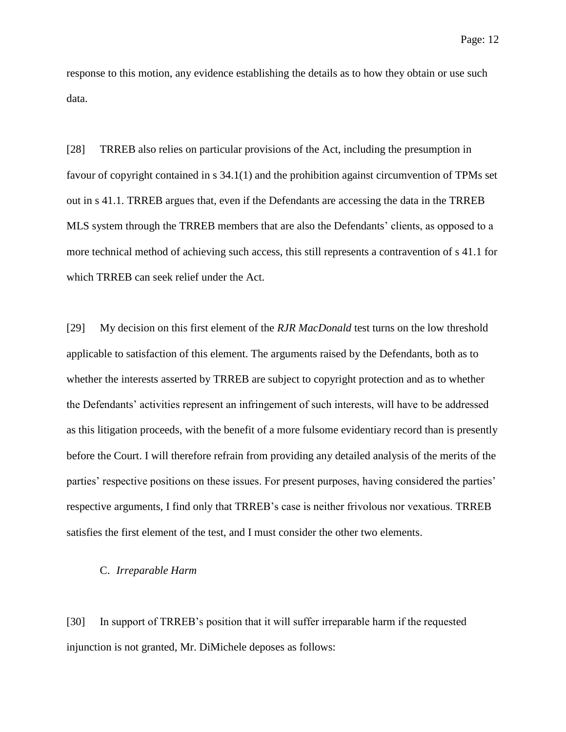response to this motion, any evidence establishing the details as to how they obtain or use such data.

[28] TRREB also relies on particular provisions of the Act, including the presumption in favour of copyright contained in s 34.1(1) and the prohibition against circumvention of TPMs set out in s 41.1. TRREB argues that, even if the Defendants are accessing the data in the TRREB MLS system through the TRREB members that are also the Defendants' clients, as opposed to a more technical method of achieving such access, this still represents a contravention of s 41.1 for which TRREB can seek relief under the Act.

[29] My decision on this first element of the *RJR MacDonald* test turns on the low threshold applicable to satisfaction of this element. The arguments raised by the Defendants, both as to whether the interests asserted by TRREB are subject to copyright protection and as to whether the Defendants' activities represent an infringement of such interests, will have to be addressed as this litigation proceeds, with the benefit of a more fulsome evidentiary record than is presently before the Court. I will therefore refrain from providing any detailed analysis of the merits of the parties' respective positions on these issues. For present purposes, having considered the parties' respective arguments, I find only that TRREB's case is neither frivolous nor vexatious. TRREB satisfies the first element of the test, and I must consider the other two elements.

#### C. *Irreparable Harm*

[30] In support of TRREB's position that it will suffer irreparable harm if the requested injunction is not granted, Mr. DiMichele deposes as follows: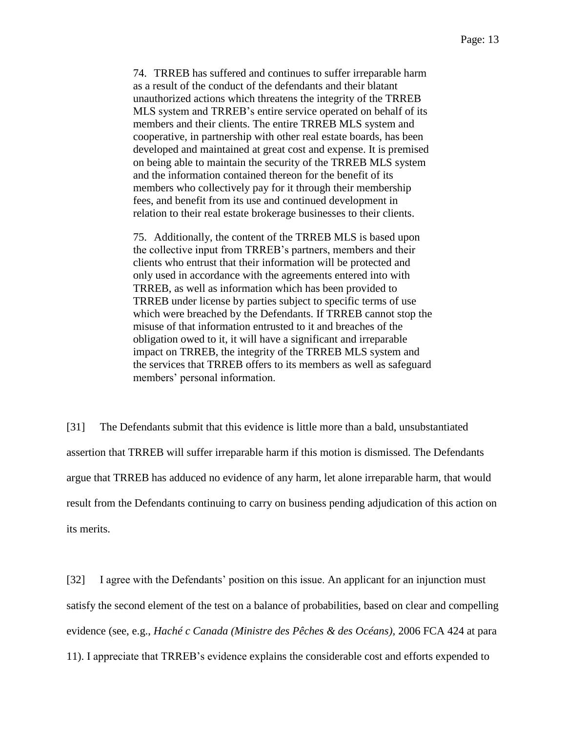74. TRREB has suffered and continues to suffer irreparable harm as a result of the conduct of the defendants and their blatant unauthorized actions which threatens the integrity of the TRREB MLS system and TRREB's entire service operated on behalf of its members and their clients. The entire TRREB MLS system and cooperative, in partnership with other real estate boards, has been developed and maintained at great cost and expense. It is premised on being able to maintain the security of the TRREB MLS system and the information contained thereon for the benefit of its members who collectively pay for it through their membership fees, and benefit from its use and continued development in relation to their real estate brokerage businesses to their clients.

75. Additionally, the content of the TRREB MLS is based upon the collective input from TRREB's partners, members and their clients who entrust that their information will be protected and only used in accordance with the agreements entered into with TRREB, as well as information which has been provided to TRREB under license by parties subject to specific terms of use which were breached by the Defendants. If TRREB cannot stop the misuse of that information entrusted to it and breaches of the obligation owed to it, it will have a significant and irreparable impact on TRREB, the integrity of the TRREB MLS system and the services that TRREB offers to its members as well as safeguard members' personal information.

[31] The Defendants submit that this evidence is little more than a bald, unsubstantiated assertion that TRREB will suffer irreparable harm if this motion is dismissed. The Defendants argue that TRREB has adduced no evidence of any harm, let alone irreparable harm, that would result from the Defendants continuing to carry on business pending adjudication of this action on its merits.

[32] I agree with the Defendants' position on this issue. An applicant for an injunction must satisfy the second element of the test on a balance of probabilities, based on clear and compelling evidence (see, e.g., *Haché c Canada (Ministre des Pêches & des Océans),* 2006 FCA 424 at para 11). I appreciate that TRREB's evidence explains the considerable cost and efforts expended to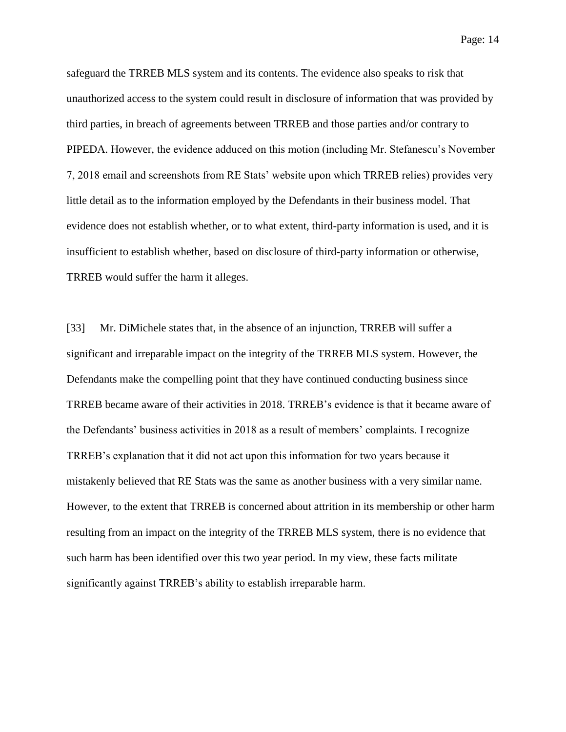safeguard the TRREB MLS system and its contents. The evidence also speaks to risk that unauthorized access to the system could result in disclosure of information that was provided by third parties, in breach of agreements between TRREB and those parties and/or contrary to PIPEDA. However, the evidence adduced on this motion (including Mr. Stefanescu's November 7, 2018 email and screenshots from RE Stats' website upon which TRREB relies) provides very little detail as to the information employed by the Defendants in their business model. That evidence does not establish whether, or to what extent, third-party information is used, and it is insufficient to establish whether, based on disclosure of third-party information or otherwise, TRREB would suffer the harm it alleges.

[33] Mr. DiMichele states that, in the absence of an injunction, TRREB will suffer a significant and irreparable impact on the integrity of the TRREB MLS system. However, the Defendants make the compelling point that they have continued conducting business since TRREB became aware of their activities in 2018. TRREB's evidence is that it became aware of the Defendants' business activities in 2018 as a result of members' complaints. I recognize TRREB's explanation that it did not act upon this information for two years because it mistakenly believed that RE Stats was the same as another business with a very similar name. However, to the extent that TRREB is concerned about attrition in its membership or other harm resulting from an impact on the integrity of the TRREB MLS system, there is no evidence that such harm has been identified over this two year period. In my view, these facts militate significantly against TRREB's ability to establish irreparable harm.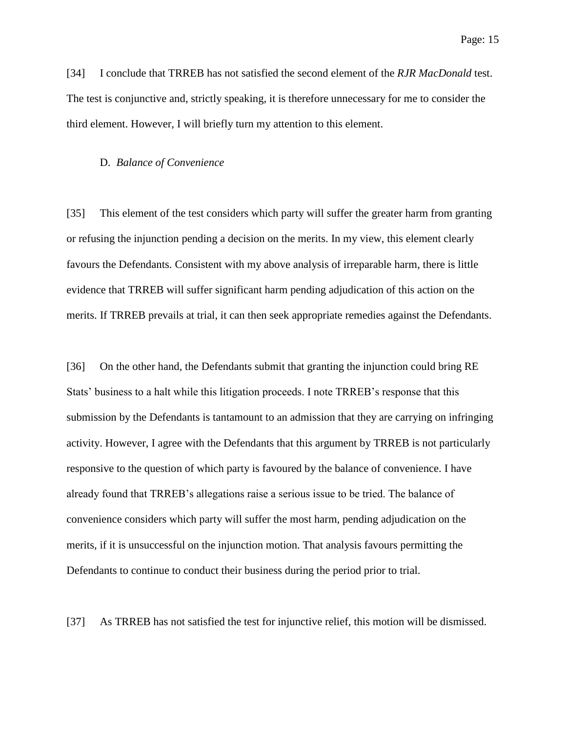[34] I conclude that TRREB has not satisfied the second element of the *RJR MacDonald* test. The test is conjunctive and, strictly speaking, it is therefore unnecessary for me to consider the third element. However, I will briefly turn my attention to this element.

#### D. *Balance of Convenience*

[35] This element of the test considers which party will suffer the greater harm from granting or refusing the injunction pending a decision on the merits. In my view, this element clearly favours the Defendants. Consistent with my above analysis of irreparable harm, there is little evidence that TRREB will suffer significant harm pending adjudication of this action on the merits. If TRREB prevails at trial, it can then seek appropriate remedies against the Defendants.

[36] On the other hand, the Defendants submit that granting the injunction could bring RE Stats' business to a halt while this litigation proceeds. I note TRREB's response that this submission by the Defendants is tantamount to an admission that they are carrying on infringing activity. However, I agree with the Defendants that this argument by TRREB is not particularly responsive to the question of which party is favoured by the balance of convenience. I have already found that TRREB's allegations raise a serious issue to be tried. The balance of convenience considers which party will suffer the most harm, pending adjudication on the merits, if it is unsuccessful on the injunction motion. That analysis favours permitting the Defendants to continue to conduct their business during the period prior to trial.

[37] As TRREB has not satisfied the test for injunctive relief, this motion will be dismissed.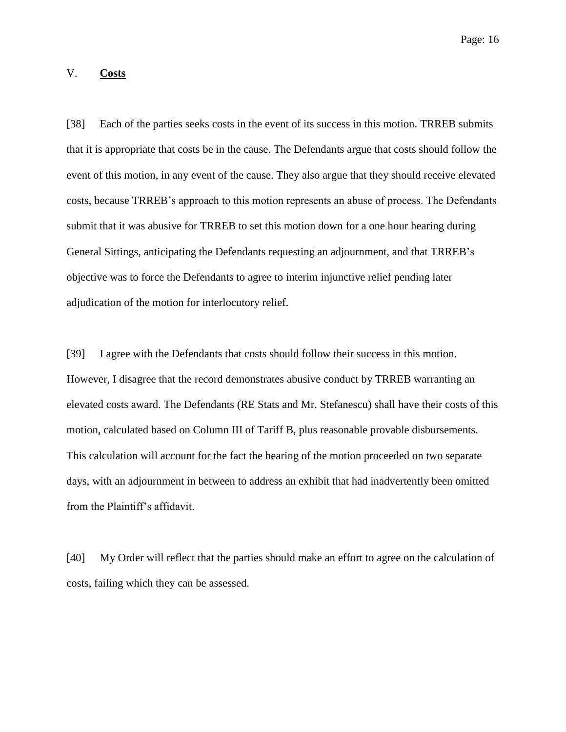## V. **Costs**

[38] Each of the parties seeks costs in the event of its success in this motion. TRREB submits that it is appropriate that costs be in the cause. The Defendants argue that costs should follow the event of this motion, in any event of the cause. They also argue that they should receive elevated costs, because TRREB's approach to this motion represents an abuse of process. The Defendants submit that it was abusive for TRREB to set this motion down for a one hour hearing during General Sittings, anticipating the Defendants requesting an adjournment, and that TRREB's objective was to force the Defendants to agree to interim injunctive relief pending later adjudication of the motion for interlocutory relief.

[39] I agree with the Defendants that costs should follow their success in this motion. However, I disagree that the record demonstrates abusive conduct by TRREB warranting an elevated costs award. The Defendants (RE Stats and Mr. Stefanescu) shall have their costs of this motion, calculated based on Column III of Tariff B, plus reasonable provable disbursements. This calculation will account for the fact the hearing of the motion proceeded on two separate days, with an adjournment in between to address an exhibit that had inadvertently been omitted from the Plaintiff's affidavit.

[40] My Order will reflect that the parties should make an effort to agree on the calculation of costs, failing which they can be assessed.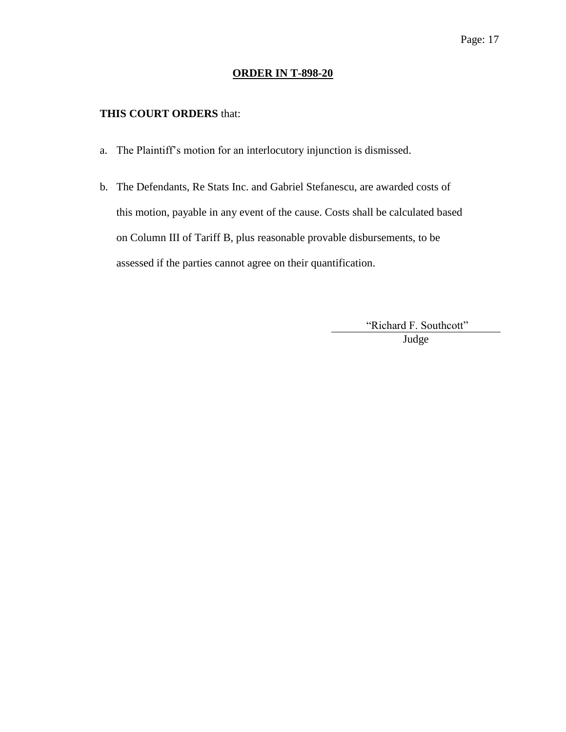### **ORDER IN T-898-20**

### **THIS COURT ORDERS** that:

- a. The Plaintiff's motion for an interlocutory injunction is dismissed.
- b. The Defendants, Re Stats Inc. and Gabriel Stefanescu, are awarded costs of this motion, payable in any event of the cause. Costs shall be calculated based on Column III of Tariff B, plus reasonable provable disbursements, to be assessed if the parties cannot agree on their quantification.

"Richard F. Southcott" Judge